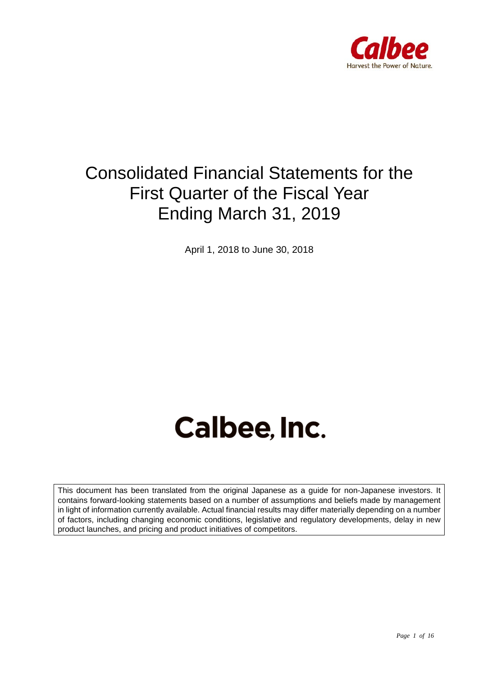

## Consolidated Financial Statements for the First Quarter of the Fiscal Year Ending March 31, 2019

April 1, 2018 to June 30, 2018

# Calbee, Inc.

This document has been translated from the original Japanese as a guide for non-Japanese investors. It contains forward-looking statements based on a number of assumptions and beliefs made by management in light of information currently available. Actual financial results may differ materially depending on a number of factors, including changing economic conditions, legislative and regulatory developments, delay in new product launches, and pricing and product initiatives of competitors.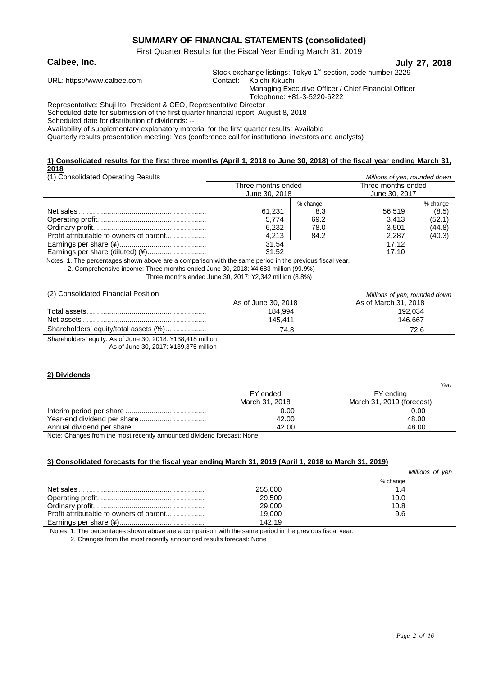#### **SUMMARY OF FINANCIAL STATEMENTS (consolidated)**

First Quarter Results for the Fiscal Year Ending March 31, 2019

**Calbee, Inc. July 27, 2018**

Stock exchange listings: Tokyo 1<sup>st</sup> section, code number 2229

| URL: https://www.calbee.com                                         | Contact: . | Koichi Kikuchi                                       |  |  |  |
|---------------------------------------------------------------------|------------|------------------------------------------------------|--|--|--|
|                                                                     |            | Managing Executive Officer / Chief Financial Officer |  |  |  |
|                                                                     |            | Telephone: +81-3-5220-6222                           |  |  |  |
| Representative: Shuji Ito, President & CEO, Representative Director |            |                                                      |  |  |  |

Scheduled date for submission of the first quarter financial report: August 8, 2018

Scheduled date for distribution of dividends: --

Availability of supplementary explanatory material for the first quarter results: Available

Quarterly results presentation meeting: Yes (conference call for institutional investors and analysts)

#### **1) Consolidated results for the first three months (April 1, 2018 to June 30, 2018) of the fiscal year ending March 31, 2018**

| (1) Consolidated Operating Results | Millions of yen, rounded down |          |                    |          |  |
|------------------------------------|-------------------------------|----------|--------------------|----------|--|
|                                    | Three months ended            |          | Three months ended |          |  |
|                                    | June 30, 2018                 |          | June 30, 2017      |          |  |
|                                    |                               | % change |                    | % change |  |
|                                    | 61.231                        | 8.3      | 56.519             | (8.5)    |  |
|                                    | 5.774                         | 69.2     | 3.413              | (52.1)   |  |
|                                    | 6,232                         | 78.0     | 3,501              | (44.8)   |  |
|                                    | 4.213                         | 84.2     | 2,287              | (40.3)   |  |
|                                    | 31.54                         |          | 17.12              |          |  |
|                                    | 31.52                         |          | 17.10              |          |  |

Notes: 1. The percentages shown above are a comparison with the same period in the previous fiscal year.

2. Comprehensive income: Three months ended June 30, 2018: ¥4,683 million (99.9%)

Three months ended June 30, 2017: ¥2,342 million (8.8%)

(2) Consolidated Financial Position *Millions of yen, rounded down*

|                                                             |                     | <u><i>Report of Verly loanded down</i></u> |
|-------------------------------------------------------------|---------------------|--------------------------------------------|
|                                                             | As of June 30, 2018 | As of March 31, 2018                       |
|                                                             | 184.994             | 192.034                                    |
|                                                             | 145.411             | 146.667                                    |
| Shareholders' equity/total assets (%)                       | 74.8                | 72.6                                       |
| Charological caught: An of June 20, 2010; V120, 110 million |                     |                                            |

Shareholders' equity: As of June 30, 2018: ¥138,418 million

As of June 30, 2017: ¥139,375 million

#### **2) Dividends**

| FY ended<br>FY ending<br>March 31, 2019 (forecast)<br>March 31, 2018<br>0.00<br>0.00 |       |       | Yen |
|--------------------------------------------------------------------------------------|-------|-------|-----|
|                                                                                      |       |       |     |
|                                                                                      |       |       |     |
|                                                                                      |       |       |     |
|                                                                                      | 42.00 | 48.00 |     |
| 48.00<br>42.00                                                                       |       |       |     |

Note: Changes from the most recently announced dividend forecast: None

#### **3) Consolidated forecasts for the fiscal year ending March 31, 2019 (April 1, 2018 to March 31, 2019)**

|         | Millions of ven |
|---------|-----------------|
|         | % change        |
| 255,000 | 1.4             |
| 29,500  | 10.0            |
| 29,000  | 10.8            |
| 19.000  | 9.6             |
| 142.19  |                 |

Notes: 1. The percentages shown above are a comparison with the same period in the previous fiscal year.

2. Changes from the most recently announced results forecast: None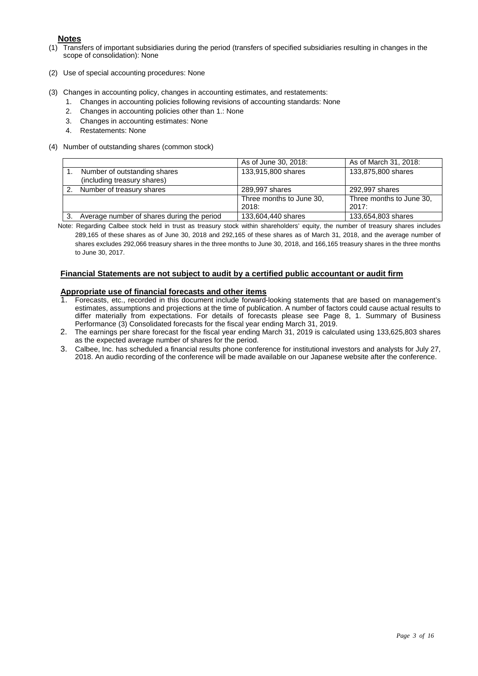#### **Notes**

- (1) Transfers of important subsidiaries during the period (transfers of specified subsidiaries resulting in changes in the scope of consolidation): None
- (2) Use of special accounting procedures: None
- (3) Changes in accounting policy, changes in accounting estimates, and restatements:
	- 1. Changes in accounting policies following revisions of accounting standards: None
	- 2. Changes in accounting policies other than 1.: None
	- 3. Changes in accounting estimates: None
	- 4. Restatements: None
- (4) Number of outstanding shares (common stock)

|                                            | As of June 30, 2018:     | As of March 31, 2018:    |
|--------------------------------------------|--------------------------|--------------------------|
| Number of outstanding shares               | 133,915,800 shares       | 133,875,800 shares       |
| (including treasury shares)                |                          |                          |
| Number of treasury shares                  | 289,997 shares           | 292,997 shares           |
|                                            | Three months to June 30, | Three months to June 30, |
|                                            | 2018:                    | 2017:                    |
| Average number of shares during the period | 133,604,440 shares       | 133,654,803 shares       |

Note: Regarding Calbee stock held in trust as treasury stock within shareholders' equity, the number of treasury shares includes 289,165 of these shares as of June 30, 2018 and 292,165 of these shares as of March 31, 2018, and the average number of shares excludes 292,066 treasury shares in the three months to June 30, 2018, and 166,165 treasury shares in the three months to June 30, 2017.

#### **Financial Statements are not subject to audit by a certified public accountant or audit firm**

### **Appropriate use of financial forecasts and other items**<br>1. Forecasts, etc., recorded in this document include forward-

- 1. Forecasts, etc., recorded in this document include forward-looking statements that are based on management's estimates, assumptions and projections at the time of publication. A number of factors could cause actual results to differ materially from expectations. For details of forecasts please see Page 8, 1. Summary of Business Performance (3) Consolidated forecasts for the fiscal year ending March 31, 2019.
- 2. The earnings per share forecast for the fiscal year ending March 31, 2019 is calculated using 133,625,803 shares as the expected average number of shares for the period.
- 3. Calbee, Inc. has scheduled a financial results phone conference for institutional investors and analysts for July 27, 2018. An audio recording of the conference will be made available on our Japanese website after the conference.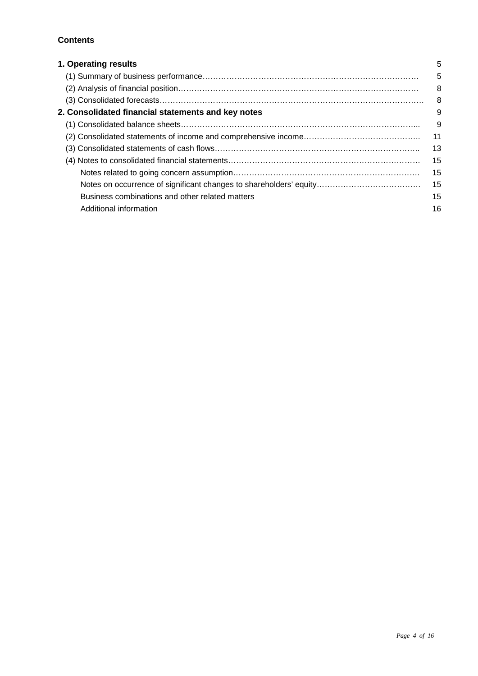#### **Contents**

| 1. Operating results                               | 5  |
|----------------------------------------------------|----|
|                                                    | 5  |
|                                                    | 8  |
|                                                    | 8  |
| 2. Consolidated financial statements and key notes | 9  |
|                                                    | 9  |
|                                                    | 11 |
|                                                    | 13 |
|                                                    | 15 |
|                                                    | 15 |
|                                                    | 15 |
| Business combinations and other related matters    | 15 |
| Additional information                             | 16 |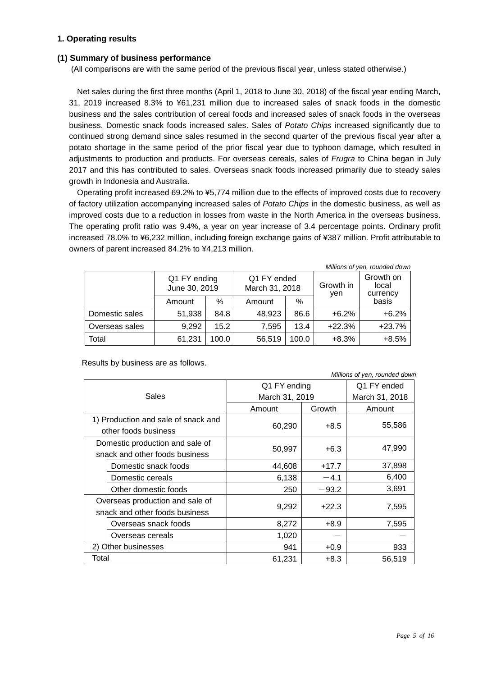#### **1. Operating results**

#### **(1) Summary of business performance**

(All comparisons are with the same period of the previous fiscal year, unless stated otherwise.)

Net sales during the first three months (April 1, 2018 to June 30, 2018) of the fiscal year ending March, 31, 2019 increased 8.3% to ¥61,231 million due to increased sales of snack foods in the domestic business and the sales contribution of cereal foods and increased sales of snack foods in the overseas business. Domestic snack foods increased sales. Sales of *Potato Chips* increased significantly due to continued strong demand since sales resumed in the second quarter of the previous fiscal year after a potato shortage in the same period of the prior fiscal year due to typhoon damage, which resulted in adjustments to production and products. For overseas cereals, sales of *Frugra* to China began in July 2017 and this has contributed to sales. Overseas snack foods increased primarily due to steady sales growth in Indonesia and Australia.

Operating profit increased 69.2% to ¥5,774 million due to the effects of improved costs due to recovery of factory utilization accompanying increased sales of *Potato Chips* in the domestic business, as well as improved costs due to a reduction in losses from waste in the North America in the overseas business. The operating profit ratio was 9.4%, a year on year increase of 3.4 percentage points. Ordinary profit increased 78.0% to ¥6,232 million, including foreign exchange gains of ¥387 million. Profit attributable to owners of parent increased 84.2% to ¥4,213 million.

| Millions of yen, rounded down |                               |       |                               |       |                  |                                |
|-------------------------------|-------------------------------|-------|-------------------------------|-------|------------------|--------------------------------|
|                               | Q1 FY ending<br>June 30, 2019 |       | Q1 FY ended<br>March 31, 2018 |       | Growth in<br>yen | Growth on<br>local<br>currency |
|                               | Amount                        | %     | Amount                        | %     |                  | basis                          |
| Domestic sales                | 51,938                        | 84.8  | 48,923                        | 86.6  | $+6.2%$          | $+6.2%$                        |
| Overseas sales                | 9,292                         | 15.2  | 7,595                         | 13.4  | $+22.3%$         | $+23.7%$                       |
| Total                         | 61,231                        | 100.0 | 56,519                        | 100.0 | $+8.3%$          | $+8.5%$                        |

Results by business are as follows.

| Sales |                                     | Q1 FY ending   | Q1 FY ended |                |
|-------|-------------------------------------|----------------|-------------|----------------|
|       |                                     | March 31, 2019 |             | March 31, 2018 |
|       |                                     | Amount         | Growth      | Amount         |
|       | 1) Production and sale of snack and |                |             | 55,586         |
|       | other foods business                | 60,290         | $+8.5$      |                |
|       | Domestic production and sale of     |                |             | 47,990         |
|       | snack and other foods business      | 50,997         | $+6.3$      |                |
|       | Domestic snack foods                | 44,608         | $+17.7$     | 37,898         |
|       | Domestic cereals                    | 6,138          | $-4.1$      | 6,400          |
|       | Other domestic foods                | 250            | $-93.2$     | 3,691          |
|       | Overseas production and sale of     |                |             |                |
|       | snack and other foods business      | 9,292          | $+22.3$     | 7,595          |
|       | Overseas snack foods                | 8,272          | $+8.9$      | 7,595          |
|       | Overseas cereals                    | 1,020          |             |                |
|       | 2) Other businesses                 | 941            | $+0.9$      | 933            |
| Total |                                     | 61,231         | $+8.3$      | 56,519         |

*Millions of yen, rounded down*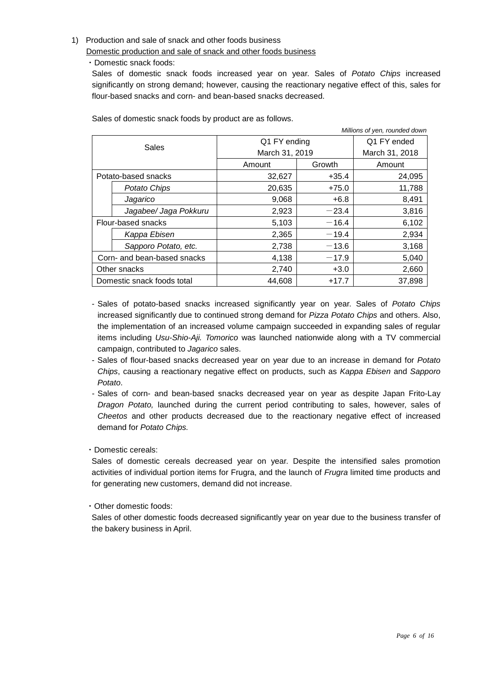#### 1) Production and sale of snack and other foods business

Domestic production and sale of snack and other foods business

・Domestic snack foods:

Sales of domestic snack foods increased year on year. Sales of *Potato Chips* increased significantly on strong demand; however, causing the reactionary negative effect of this, sales for flour-based snacks and corn- and bean-based snacks decreased.

|                                      |                            | Millions of yen, rounded down |             |                |
|--------------------------------------|----------------------------|-------------------------------|-------------|----------------|
| <b>Sales</b>                         |                            | Q1 FY ending                  | Q1 FY ended |                |
|                                      |                            | March 31, 2019                |             | March 31, 2018 |
|                                      |                            | Amount                        | Growth      | Amount         |
|                                      | Potato-based snacks        | 32,627                        | $+35.4$     | 24,095         |
|                                      | Potato Chips               | 20,635                        | $+75.0$     | 11,788         |
|                                      | Jagarico                   | 9,068                         | $+6.8$      | 8,491          |
|                                      | Jagabee/ Jaga Pokkuru      | 2,923                         | $-23.4$     | 3,816          |
|                                      | Flour-based snacks         | 5,103                         | $-16.4$     | 6,102          |
|                                      | Kappa Ebisen               | 2,365                         | $-19.4$     | 2,934          |
|                                      | Sapporo Potato, etc.       | 2,738                         | $-13.6$     | 3,168          |
| Corn- and bean-based snacks<br>4,138 |                            | $-17.9$                       | 5,040       |                |
| Other snacks                         |                            | 2,740                         | $+3.0$      | 2,660          |
|                                      | Domestic snack foods total | 44,608                        | $+17.7$     | 37,898         |

Sales of domestic snack foods by product are as follows.

- Sales of potato-based snacks increased significantly year on year. Sales of *Potato Chips*  increased significantly due to continued strong demand for *Pizza Potato Chips* and others. Also, the implementation of an increased volume campaign succeeded in expanding sales of regular items including *Usu-Shio-Aji. Tomorico* was launched nationwide along with a TV commercial campaign, contributed to *Jagarico* sales.
- Sales of flour-based snacks decreased year on year due to an increase in demand for *Potato Chips*, causing a reactionary negative effect on products, such as *Kappa Ebisen* and *Sapporo Potato*.
- Sales of corn- and bean-based snacks decreased year on year as despite Japan Frito-Lay *Dragon Potato,* launched during the current period contributing to sales, however, sales of *Cheetos* and other products decreased due to the reactionary negative effect of increased demand for *Potato Chips.*

#### ・Domestic cereals:

Sales of domestic cereals decreased year on year. Despite the intensified sales promotion activities of individual portion items for Frugra, and the launch of *Frugra* limited time products and for generating new customers, demand did not increase.

#### ・Other domestic foods:

Sales of other domestic foods decreased significantly year on year due to the business transfer of the bakery business in April.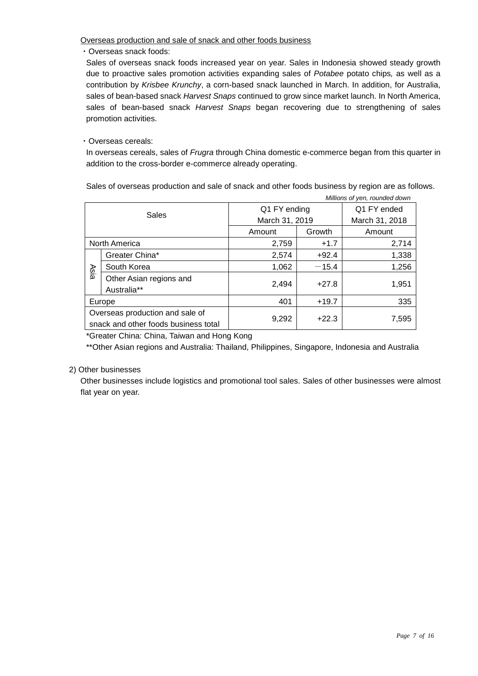Overseas production and sale of snack and other foods business

・Overseas snack foods:

Sales of overseas snack foods increased year on year. Sales in Indonesia showed steady growth due to proactive sales promotion activities expanding sales of *Potabee* potato chips*,* as well as a contribution by *Krisbee Krunchy*, a corn-based snack launched in March. In addition, for Australia, sales of bean-based snack *Harvest Snaps* continued to grow since market launch. In North America, sales of bean-based snack *Harvest Snaps* began recovering due to strengthening of sales promotion activities.

#### ・Overseas cereals:

In overseas cereals, sales of *Frugra* through China domestic e-commerce began from this quarter in addition to the cross-border e-commerce already operating.

Sales of overseas production and sale of snack and other foods business by region are as follows.

| Millions of yen, rounded down |                                                                         |                  |                |        |
|-------------------------------|-------------------------------------------------------------------------|------------------|----------------|--------|
| Sales                         |                                                                         | Q1 FY ending     | Q1 FY ended    |        |
|                               |                                                                         | March 31, 2019   | March 31, 2018 |        |
|                               |                                                                         | Growth<br>Amount |                | Amount |
|                               | <b>North America</b>                                                    | 2,759            | $+1.7$         | 2,714  |
|                               | Greater China*                                                          | 2,574            | $+92.4$        | 1,338  |
| Asia                          | South Korea                                                             | 1,062            | $-15.4$        | 1,256  |
|                               | Other Asian regions and<br>Australia**                                  | 2,494            | $+27.8$        | 1,951  |
|                               | Europe                                                                  | 401<br>$+19.7$   |                | 335    |
|                               | Overseas production and sale of<br>snack and other foods business total | $+22.3$<br>9,292 |                | 7,595  |

\*Greater China: China, Taiwan and Hong Kong

\*\*Other Asian regions and Australia: Thailand, Philippines, Singapore, Indonesia and Australia

#### 2) Other businesses

Other businesses include logistics and promotional tool sales. Sales of other businesses were almost flat year on year.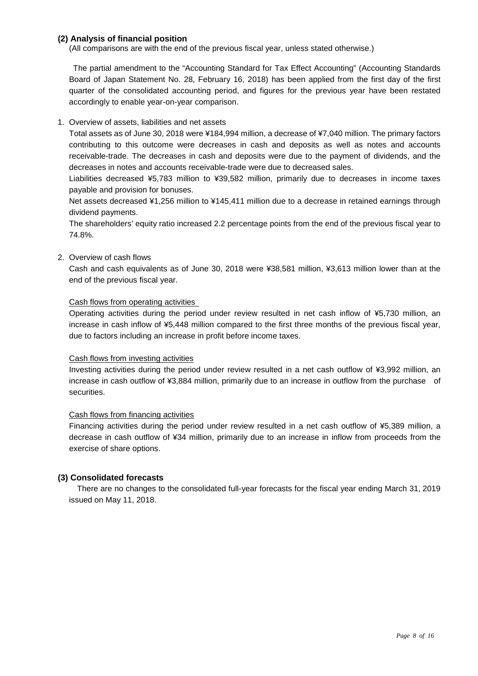#### **(2) Analysis of financial position**

(All comparisons are with the end of the previous fiscal year, unless stated otherwise.)

The partial amendment to the "Accounting Standard for Tax Effect Accounting" (Accounting Standards Board of Japan Statement No. 28, February 16, 2018) has been applied from the first day of the first quarter of the consolidated accounting period, and figures for the previous year have been restated accordingly to enable year-on-year comparison.

#### 1. Overview of assets, liabilities and net assets

Total assets as of June 30, 2018 were ¥184,994 million, a decrease of ¥7,040 million. The primary factors contributing to this outcome were decreases in cash and deposits as well as notes and accounts receivable-trade. The decreases in cash and deposits were due to the payment of dividends, and the decreases in notes and accounts receivable-trade were due to decreased sales.

Liabilities decreased ¥5,783 million to ¥39,582 million, primarily due to decreases in income taxes payable and provision for bonuses.

Net assets decreased ¥1,256 million to ¥145,411 million due to a decrease in retained earnings through dividend payments.

The shareholders' equity ratio increased 2.2 percentage points from the end of the previous fiscal year to 74.8%.

2. Overview of cash flows

Cash and cash equivalents as of June 30, 2018 were ¥38,581 million, ¥3,613 million lower than at the end of the previous fiscal year.

#### Cash flows from operating activities

Operating activities during the period under review resulted in net cash inflow of ¥5,730 million, an increase in cash inflow of ¥5,448 million compared to the first three months of the previous fiscal year, due to factors including an increase in profit before income taxes.

#### Cash flows from investing activities

Investing activities during the period under review resulted in a net cash outflow of ¥3,992 million, an increase in cash outflow of ¥3,884 million, primarily due to an increase in outflow from the purchase of securities.

#### Cash flows from financing activities

Financing activities during the period under review resulted in a net cash outflow of ¥5,389 million, a decrease in cash outflow of ¥34 million, primarily due to an increase in inflow from proceeds from the exercise of share options.

#### **(3) Consolidated forecasts**

There are no changes to the consolidated full-year forecasts for the fiscal year ending March 31, 2019 issued on May 11, 2018.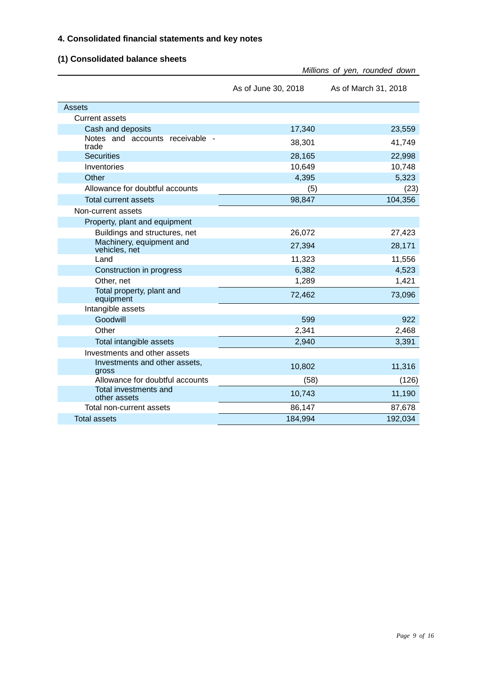#### **4. Consolidated financial statements and key notes**

#### **(1) Consolidated balance sheets**

|                                           |                     | Millions of yen, rounded down |
|-------------------------------------------|---------------------|-------------------------------|
|                                           | As of June 30, 2018 | As of March 31, 2018          |
| Assets                                    |                     |                               |
| <b>Current assets</b>                     |                     |                               |
| Cash and deposits                         | 17,340              | 23,559                        |
| Notes and accounts receivable -<br>trade  | 38,301              | 41,749                        |
| <b>Securities</b>                         | 28,165              | 22,998                        |
| Inventories                               | 10,649              | 10,748                        |
| Other                                     | 4,395               | 5,323                         |
| Allowance for doubtful accounts           | (5)                 | (23)                          |
| <b>Total current assets</b>               | 98,847              | 104,356                       |
| Non-current assets                        |                     |                               |
| Property, plant and equipment             |                     |                               |
| Buildings and structures, net             | 26,072              | 27,423                        |
| Machinery, equipment and<br>vehicles, net | 27,394              | 28,171                        |
| Land                                      | 11,323              | 11,556                        |
| Construction in progress                  | 6,382               | 4,523                         |
| Other, net                                | 1,289               | 1,421                         |
| Total property, plant and<br>equipment    | 72,462              | 73,096                        |
| Intangible assets                         |                     |                               |
| Goodwill                                  | 599                 | 922                           |
| Other                                     | 2,341               | 2,468                         |
| Total intangible assets                   | 2,940               | 3,391                         |
| Investments and other assets              |                     |                               |
| Investments and other assets,<br>gross    | 10,802              | 11,316                        |
| Allowance for doubtful accounts           | (58)                | (126)                         |
| Total investments and<br>other assets     | 10,743              | 11,190                        |
| Total non-current assets                  | 86,147              | 87,678                        |
| <b>Total assets</b>                       | 184,994             | 192,034                       |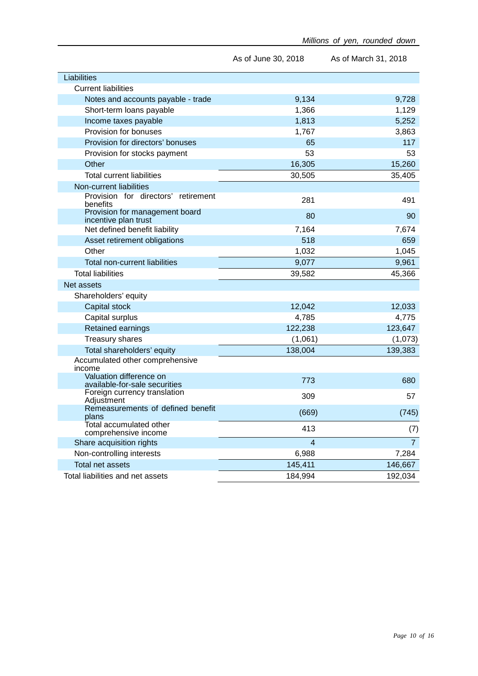|                                                          | As of June 30, 2018 | As of March 31, 2018 |
|----------------------------------------------------------|---------------------|----------------------|
| Liabilities                                              |                     |                      |
| <b>Current liabilities</b>                               |                     |                      |
| Notes and accounts payable - trade                       | 9,134               | 9,728                |
| Short-term loans payable                                 | 1,366               | 1,129                |
| Income taxes payable                                     | 1,813               | 5,252                |
| Provision for bonuses                                    | 1,767               | 3,863                |
| Provision for directors' bonuses                         | 65                  | 117                  |
| Provision for stocks payment                             | 53                  | 53                   |
| Other                                                    | 16,305              | 15,260               |
| <b>Total current liabilities</b>                         | 30,505              | 35,405               |
| Non-current liabilities                                  |                     |                      |
| Provision for directors' retirement<br>benefits          | 281                 | 491                  |
| Provision for management board<br>incentive plan trust   | 80                  | 90                   |
| Net defined benefit liability                            | 7,164               | 7,674                |
| Asset retirement obligations                             | 518                 | 659                  |
| Other                                                    | 1,032               | 1,045                |
| Total non-current liabilities                            | 9,077               | 9,961                |
| <b>Total liabilities</b>                                 | 39,582              | 45,366               |
| Net assets                                               |                     |                      |
| Shareholders' equity                                     |                     |                      |
| Capital stock                                            | 12,042              | 12,033               |
| Capital surplus                                          | 4,785               | 4,775                |
| Retained earnings                                        | 122,238             | 123,647              |
| Treasury shares                                          | (1,061)             | (1,073)              |
| Total shareholders' equity                               | 138,004             | 139,383              |
| Accumulated other comprehensive<br>income                |                     |                      |
| Valuation difference on<br>available-for-sale securities | 773                 | 680                  |
| Foreign currency translation<br>Adjustment               | 309                 | 57                   |
| Remeasurements of defined benefit<br>plans               | (669)               | (745)                |
| Total accumulated other<br>comprehensive income          | 413                 | (7)                  |
| Share acquisition rights                                 | $\overline{4}$      | $\overline{7}$       |
| Non-controlling interests                                | 6,988               | 7,284                |
| Total net assets                                         | 145,411             | 146,667              |
| Total liabilities and net assets                         | 184,994             | 192,034              |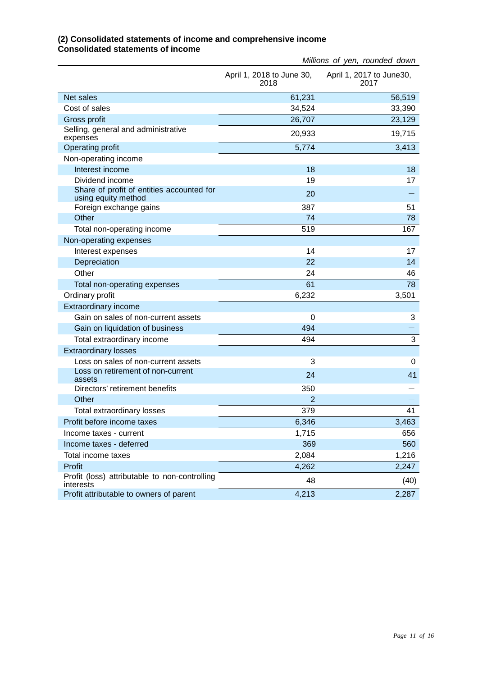|                                                                  |                                   | Millions of yen, rounded down    |
|------------------------------------------------------------------|-----------------------------------|----------------------------------|
|                                                                  | April 1, 2018 to June 30,<br>2018 | April 1, 2017 to June30,<br>2017 |
| <b>Net sales</b>                                                 | 61,231                            | 56,519                           |
| Cost of sales                                                    | 34,524                            | 33,390                           |
| Gross profit                                                     | 26,707                            | 23,129                           |
| Selling, general and administrative<br>expenses                  | 20,933                            | 19,715                           |
| Operating profit                                                 | 5,774                             | 3,413                            |
| Non-operating income                                             |                                   |                                  |
| Interest income                                                  | 18                                | 18                               |
| Dividend income                                                  | 19                                | 17                               |
| Share of profit of entities accounted for<br>using equity method | 20                                |                                  |
| Foreign exchange gains                                           | 387                               | 51                               |
| Other                                                            | 74                                | 78                               |
| Total non-operating income                                       | 519                               | 167                              |
| Non-operating expenses                                           |                                   |                                  |
| Interest expenses                                                | 14                                | 17                               |
| Depreciation                                                     | 22                                | 14                               |
| Other                                                            | 24                                | 46                               |
| Total non-operating expenses                                     | 61                                | 78                               |
| Ordinary profit                                                  | 6,232                             | 3,501                            |
| <b>Extraordinary income</b>                                      |                                   |                                  |
| Gain on sales of non-current assets                              | 0                                 | 3                                |
| Gain on liquidation of business                                  | 494                               |                                  |
| Total extraordinary income                                       | 494                               | 3                                |
| <b>Extraordinary losses</b>                                      |                                   |                                  |
| Loss on sales of non-current assets                              | 3                                 | 0                                |
| Loss on retirement of non-current<br>assets                      | 24                                | 41                               |
| Directors' retirement benefits                                   | 350                               |                                  |
| Other                                                            | $\overline{2}$                    |                                  |
| Total extraordinary losses                                       | 379                               | 41                               |
| Profit before income taxes                                       | 6,346                             | 3,463                            |
| Income taxes - current                                           | 1,715                             | 656                              |
| Income taxes - deferred                                          | 369                               | 560                              |
| Total income taxes                                               | 2,084                             | 1,216                            |
| Profit                                                           | 4,262                             | 2,247                            |
| Profit (loss) attributable to non-controlling<br>interests       | 48                                | (40)                             |
| Profit attributable to owners of parent                          | 4,213                             | 2,287                            |

#### **(2) Consolidated statements of income and comprehensive income Consolidated statements of income**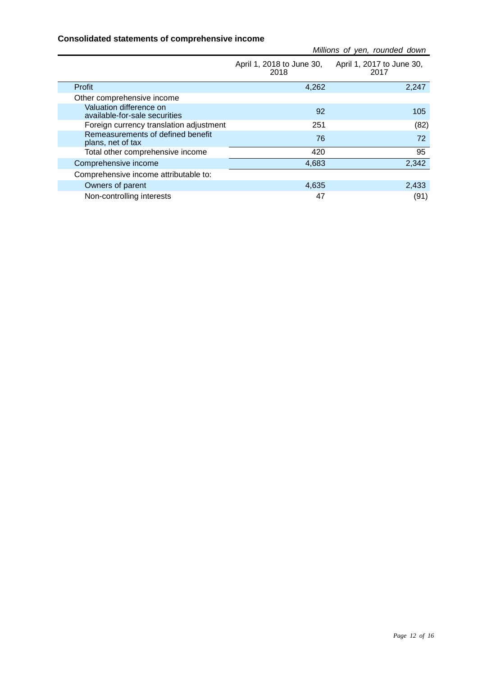#### **Consolidated statements of comprehensive income**

|                                                          |                                   | Millions of yen, rounded down     |
|----------------------------------------------------------|-----------------------------------|-----------------------------------|
|                                                          | April 1, 2018 to June 30,<br>2018 | April 1, 2017 to June 30,<br>2017 |
| Profit                                                   | 4,262                             | 2,247                             |
| Other comprehensive income                               |                                   |                                   |
| Valuation difference on<br>available-for-sale securities | 92                                | 105                               |
| Foreign currency translation adjustment                  | 251                               | (82)                              |
| Remeasurements of defined benefit<br>plans, net of tax   | 76                                | 72                                |
| Total other comprehensive income                         | 420                               | 95                                |
| Comprehensive income                                     | 4,683                             | 2,342                             |
| Comprehensive income attributable to:                    |                                   |                                   |
| Owners of parent                                         | 4,635                             | 2,433                             |
| Non-controlling interests                                | 47                                | (91)                              |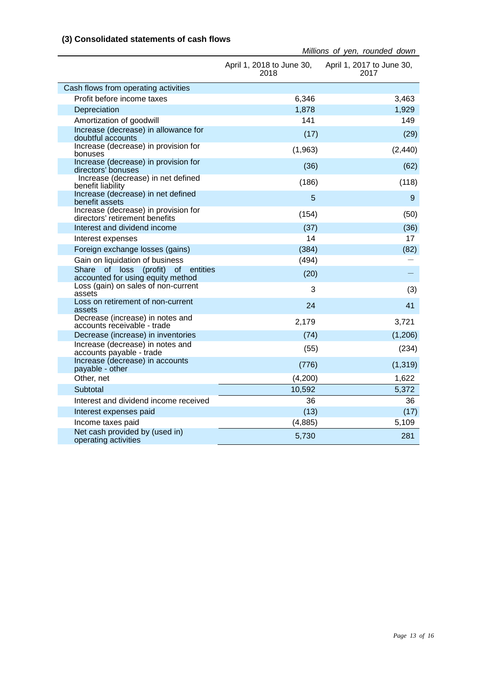#### **(3) Consolidated statements of cash flows**

|                                                                         | April 1, 2018 to June 30, April 1, 2017 to June 30,<br>2018 | 2017     |
|-------------------------------------------------------------------------|-------------------------------------------------------------|----------|
| Cash flows from operating activities                                    |                                                             |          |
| Profit before income taxes                                              | 6,346                                                       | 3,463    |
| Depreciation                                                            | 1,878                                                       | 1,929    |
| Amortization of goodwill                                                | 141                                                         | 149      |
| Increase (decrease) in allowance for<br>doubtful accounts               | (17)                                                        | (29)     |
| Increase (decrease) in provision for<br>bonuses                         | (1,963)                                                     | (2, 440) |
| Increase (decrease) in provision for<br>directors' bonuses              | (36)                                                        | (62)     |
| Increase (decrease) in net defined<br>benefit liability                 | (186)                                                       | (118)    |
| Increase (decrease) in net defined<br>benefit assets                    | 5                                                           | 9        |
| Increase (decrease) in provision for<br>directors' retirement benefits  | (154)                                                       | (50)     |
| Interest and dividend income                                            | (37)                                                        | (36)     |
| Interest expenses                                                       | 14                                                          | 17       |
| Foreign exchange losses (gains)                                         | (384)                                                       | (82)     |
| Gain on liquidation of business                                         | (494)                                                       |          |
| Share of loss (profit) of entities<br>accounted for using equity method | (20)                                                        |          |
| Loss (gain) on sales of non-current<br>assets                           | 3                                                           | (3)      |
| Loss on retirement of non-current<br>assets                             | 24                                                          | 41       |
| Decrease (increase) in notes and<br>accounts receivable - trade         | 2,179                                                       | 3,721    |
| Decrease (increase) in inventories                                      | (74)                                                        | (1,206)  |
| Increase (decrease) in notes and<br>accounts payable - trade            | (55)                                                        | (234)    |
| Increase (decrease) in accounts<br>payable - other                      | (776)                                                       | (1, 319) |
| Other, net                                                              | (4,200)                                                     | 1,622    |
| Subtotal                                                                | 10,592                                                      | 5,372    |
| Interest and dividend income received                                   | 36                                                          | 36       |
| Interest expenses paid                                                  | (13)                                                        | (17)     |
| Income taxes paid                                                       | (4,885)                                                     | 5,109    |
| Net cash provided by (used in)<br>operating activities                  | 5,730                                                       | 281      |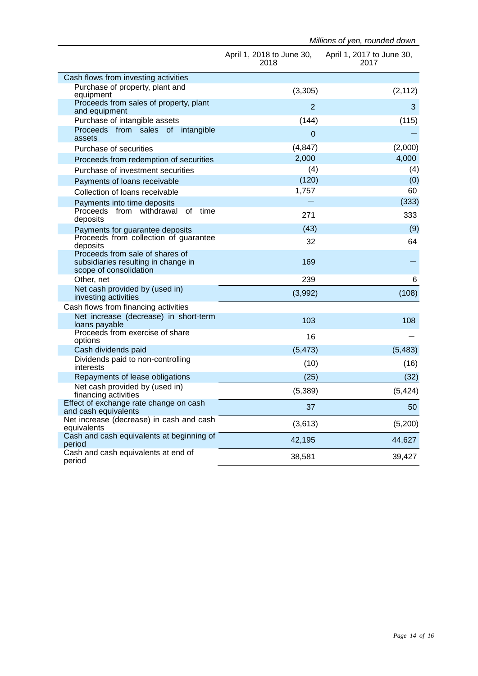|                                                                                                  | April 1, 2018 to June 30,<br>2018 | April 1, 2017 to June 30,<br>2017 |
|--------------------------------------------------------------------------------------------------|-----------------------------------|-----------------------------------|
| Cash flows from investing activities                                                             |                                   |                                   |
| Purchase of property, plant and<br>equipment                                                     | (3,305)                           | (2, 112)                          |
| Proceeds from sales of property, plant<br>and equipment                                          | $\overline{2}$                    | 3                                 |
| Purchase of intangible assets                                                                    | (144)                             | (115)                             |
| Proceeds from sales of intangible<br>assets                                                      | 0                                 |                                   |
| Purchase of securities                                                                           | (4, 847)                          | (2,000)                           |
| Proceeds from redemption of securities                                                           | 2,000                             | 4,000                             |
| Purchase of investment securities                                                                | (4)                               | (4)                               |
| Payments of loans receivable                                                                     | (120)                             | (0)                               |
| Collection of loans receivable                                                                   | 1,757                             | 60                                |
| Payments into time deposits                                                                      |                                   | (333)                             |
| Proceeds from withdrawal of time<br>deposits                                                     | 271                               | 333                               |
| Payments for guarantee deposits                                                                  | (43)                              | (9)                               |
| Proceeds from collection of guarantee<br>deposits                                                | 32                                | 64                                |
| Proceeds from sale of shares of<br>subsidiaries resulting in change in<br>scope of consolidation | 169                               |                                   |
| Other, net                                                                                       | 239                               | 6                                 |
| Net cash provided by (used in)<br>investing activities                                           | (3,992)                           | (108)                             |
| Cash flows from financing activities                                                             |                                   |                                   |
| Net increase (decrease) in short-term<br>loans payable                                           | 103                               | 108                               |
| Proceeds from exercise of share<br>options                                                       | 16                                |                                   |
| Cash dividends paid                                                                              | (5, 473)                          | (5, 483)                          |
| Dividends paid to non-controlling<br>interests                                                   | (10)                              | (16)                              |
| Repayments of lease obligations                                                                  | (25)                              | (32)                              |
| Net cash provided by (used in)<br>financing activities                                           | (5,389)                           | (5, 424)                          |
| Effect of exchange rate change on cash<br>and cash equivalents                                   | 37                                | 50                                |
| Net increase (decrease) in cash and cash<br>equivalents                                          | (3,613)                           | (5,200)                           |
| Cash and cash equivalents at beginning of<br>period                                              | 42,195                            | 44,627                            |
| Cash and cash equivalents at end of<br>period                                                    | 38,581                            | 39,427                            |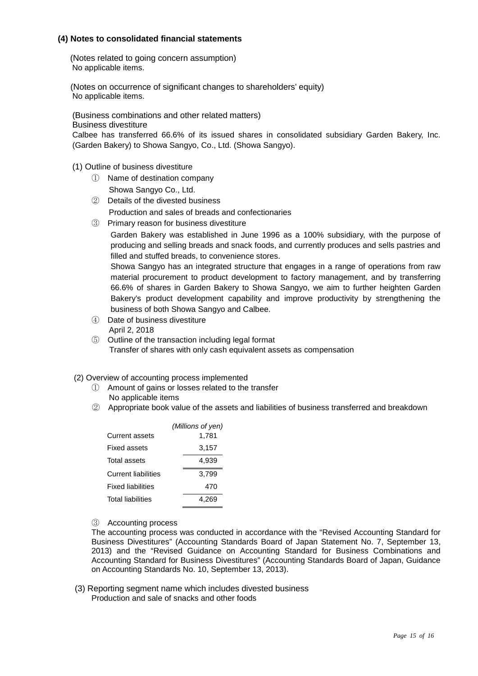#### **(4) Notes to consolidated financial statements**

(Notes related to going concern assumption) No applicable items.

(Notes on occurrence of significant changes to shareholders' equity) No applicable items.

(Business combinations and other related matters)

Business divestiture

Calbee has transferred 66.6% of its issued shares in consolidated subsidiary Garden Bakery, Inc. (Garden Bakery) to Showa Sangyo, Co., Ltd. (Showa Sangyo).

- (1) Outline of business divestiture
	- ① Name of destination company Showa Sangyo Co., Ltd.
	- ② Details of the divested business
		- Production and sales of breads and confectionaries
	- ③ Primary reason for business divestiture

Garden Bakery was established in June 1996 as a 100% subsidiary, with the purpose of producing and selling breads and snack foods, and currently produces and sells pastries and filled and stuffed breads, to convenience stores.

Showa Sangyo has an integrated structure that engages in a range of operations from raw material procurement to product development to factory management, and by transferring 66.6% of shares in Garden Bakery to Showa Sangyo, we aim to further heighten Garden Bakery's product development capability and improve productivity by strengthening the business of both Showa Sangyo and Calbee.

- ④ Date of business divestiture April 2, 2018
- ⑤ Outline of the transaction including legal format Transfer of shares with only cash equivalent assets as compensation
- (2) Overview of accounting process implemented
	- ① Amount of gains or losses related to the transfer No applicable items
	- ② Appropriate book value of the assets and liabilities of business transferred and breakdown

|                            | (Millions of yen) |
|----------------------------|-------------------|
| Current assets             | 1.781             |
| Fixed assets               | 3,157             |
| Total assets               | 4.939             |
| <b>Current liabilities</b> | 3.799             |
| <b>Fixed liabilities</b>   | 470               |
| <b>Total liabilities</b>   | 4.269             |

③ Accounting process

The accounting process was conducted in accordance with the "Revised Accounting Standard for Business Divestitures" (Accounting Standards Board of Japan Statement No. 7, September 13, 2013) and the "Revised Guidance on Accounting Standard for Business Combinations and Accounting Standard for Business Divestitures" (Accounting Standards Board of Japan, Guidance on Accounting Standards No. 10, September 13, 2013).

(3) Reporting segment name which includes divested business Production and sale of snacks and other foods